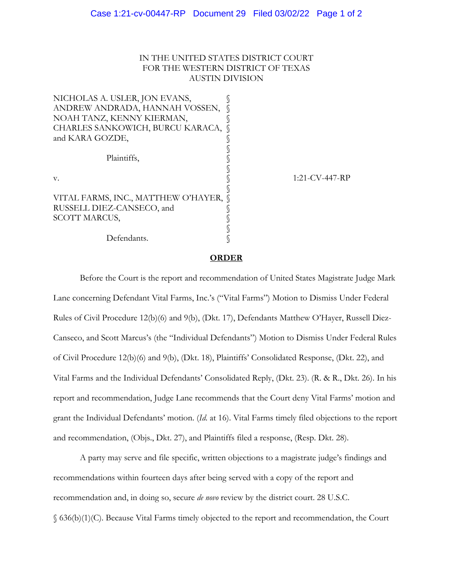### IN THE UNITED STATES DISTRICT COURT FOR THE WESTERN DISTRICT OF TEXAS AUSTIN DIVISION

| NICHOLAS A. USLER, JON EVANS,       |                   |
|-------------------------------------|-------------------|
| ANDREW ANDRADA, HANNAH VOSSEN,      |                   |
| NOAH TANZ, KENNY KIERMAN,           |                   |
| CHARLES SANKOWICH, BURCU KARACA, Q  |                   |
| and KARA GOZDE,                     |                   |
|                                     |                   |
| Plaintiffs,                         |                   |
|                                     |                   |
| V.                                  | $1:21$ -CV-447-RP |
|                                     |                   |
| VITAL FARMS, INC., MATTHEW O'HAYER, |                   |
| RUSSELL DIEZ-CANSECO, and           |                   |
| <b>SCOTT MARCUS,</b>                |                   |
|                                     |                   |
| Defendants.                         |                   |
|                                     |                   |

#### **ORDER**

Before the Court is the report and recommendation of United States Magistrate Judge Mark Lane concerning Defendant Vital Farms, Inc.'s ("Vital Farms") Motion to Dismiss Under Federal Rules of Civil Procedure 12(b)(6) and 9(b), (Dkt. 17), Defendants Matthew O'Hayer, Russell Diez-Canseco, and Scott Marcus's (the "Individual Defendants") Motion to Dismiss Under Federal Rules of Civil Procedure 12(b)(6) and 9(b), (Dkt. 18), Plaintiffs' Consolidated Response, (Dkt. 22), and Vital Farms and the Individual Defendants' Consolidated Reply, (Dkt. 23). (R. & R., Dkt. 26). In his report and recommendation, Judge Lane recommends that the Court deny Vital Farms' motion and grant the Individual Defendants' motion. (*Id*. at 16). Vital Farms timely filed objections to the report and recommendation, (Objs., Dkt. 27), and Plaintiffs filed a response, (Resp. Dkt. 28).

A party may serve and file specific, written objections to a magistrate judge's findings and recommendations within fourteen days after being served with a copy of the report and recommendation and, in doing so, secure *de novo* review by the district court. 28 U.S.C. § 636(b)(1)(C). Because Vital Farms timely objected to the report and recommendation, the Court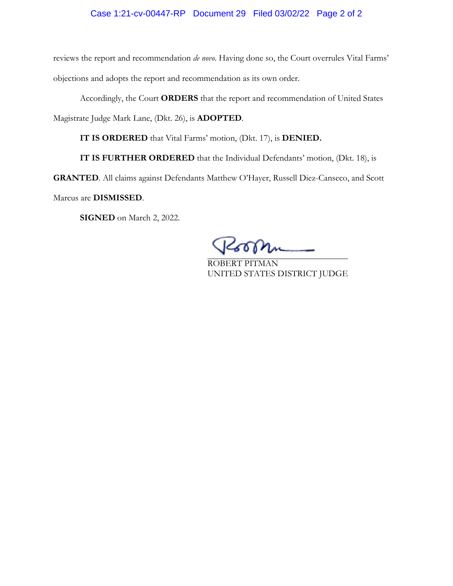### Case 1:21-cv-00447-RP Document 29 Filed 03/02/22 Page 2 of 2

reviews the report and recommendation *de novo*. Having done so, the Court overrules Vital Farms' objections and adopts the report and recommendation as its own order.

Accordingly, the Court **ORDERS** that the report and recommendation of United States

Magistrate Judge Mark Lane, (Dkt. 26), is **ADOPTED**.

**IT IS ORDERED** that Vital Farms' motion, (Dkt. 17), is **DENIED.** 

**IT IS FURTHER ORDERED** that the Individual Defendants' motion, (Dkt. 18), is

**GRANTED**. All claims against Defendants Matthew O'Hayer, Russell Diez-Canseco, and Scott

Marcus are **DISMISSED**.

**SIGNED** on March 2, 2022.

ROBERT PITMAN UNITED STATES DISTRICT JUDGE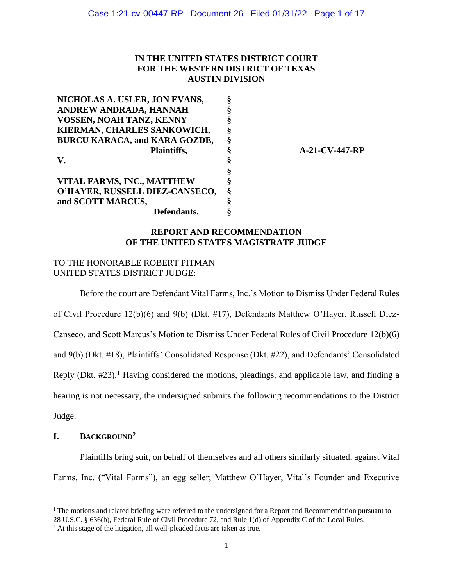## **IN THE UNITED STATES DISTRICT COURT FOR THE WESTERN DISTRICT OF TEXAS AUSTIN DIVISION**

**NICHOLAS A. USLER, JON EVANS, ANDREW ANDRADA, HANNAH VOSSEN, NOAH TANZ, KENNY KIERMAN, CHARLES SANKOWICH, BURCU KARACA, and KARA GOZDE, Plaintiffs, V. VITAL FARMS, INC., MATTHEW O'HAYER, RUSSELL DIEZ-CANSECO, and SCOTT MARCUS, Defendants. § § § § § § § § § § § §**

**A-21-CV-447-RP**

### **REPORT AND RECOMMENDATION OF THE UNITED STATES MAGISTRATE JUDGE**

## TO THE HONORABLE ROBERT PITMAN UNITED STATES DISTRICT JUDGE:

Before the court are Defendant Vital Farms, Inc.'s Motion to Dismiss Under Federal Rules of Civil Procedure 12(b)(6) and 9(b) (Dkt. #17), Defendants Matthew O'Hayer, Russell Diez-Canseco, and Scott Marcus's Motion to Dismiss Under Federal Rules of Civil Procedure 12(b)(6) and 9(b) (Dkt. #18), Plaintiffs' Consolidated Response (Dkt. #22), and Defendants' Consolidated Reply (Dkt.  $\#23$ ).<sup>1</sup> Having considered the motions, pleadings, and applicable law, and finding a hearing is not necessary, the undersigned submits the following recommendations to the District Judge.

## **I. BACKGROUND<sup>2</sup>**

Plaintiffs bring suit, on behalf of themselves and all others similarly situated, against Vital Farms, Inc. ("Vital Farms"), an egg seller; Matthew O'Hayer, Vital's Founder and Executive

<sup>&</sup>lt;sup>1</sup> The motions and related briefing were referred to the undersigned for a Report and Recommendation pursuant to 28 U.S.C. § 636(b), Federal Rule of Civil Procedure 72, and Rule 1(d) of Appendix C of the Local Rules.

<sup>&</sup>lt;sup>2</sup> At this stage of the litigation, all well-pleaded facts are taken as true.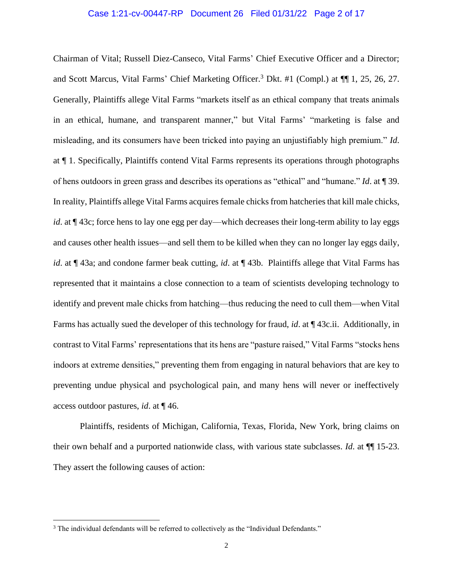#### Case 1:21-cv-00447-RP Document 26 Filed 01/31/22 Page 2 of 17

Chairman of Vital; Russell Diez-Canseco, Vital Farms' Chief Executive Officer and a Director; and Scott Marcus, Vital Farms' Chief Marketing Officer.<sup>3</sup> Dkt. #1 (Compl.) at  $\P$ [1, 25, 26, 27. Generally, Plaintiffs allege Vital Farms "markets itself as an ethical company that treats animals in an ethical, humane, and transparent manner," but Vital Farms' "marketing is false and misleading, and its consumers have been tricked into paying an unjustifiably high premium." *Id*. at ¶ 1. Specifically, Plaintiffs contend Vital Farms represents its operations through photographs of hens outdoors in green grass and describes its operations as "ethical" and "humane." *Id*. at ¶ 39. In reality, Plaintiffs allege Vital Farms acquires female chicks from hatcheries that kill male chicks, *id*. at  $\P$  43c; force hens to lay one egg per day—which decreases their long-term ability to lay eggs and causes other health issues—and sell them to be killed when they can no longer lay eggs daily, *id*. at ¶ 43a; and condone farmer beak cutting, *id*. at ¶ 43b. Plaintiffs allege that Vital Farms has represented that it maintains a close connection to a team of scientists developing technology to identify and prevent male chicks from hatching—thus reducing the need to cull them—when Vital Farms has actually sued the developer of this technology for fraud, *id*. at ¶ 43c.ii. Additionally, in contrast to Vital Farms' representations that its hens are "pasture raised," Vital Farms "stocks hens indoors at extreme densities," preventing them from engaging in natural behaviors that are key to preventing undue physical and psychological pain, and many hens will never or ineffectively access outdoor pastures, *id*. at ¶ 46.

Plaintiffs, residents of Michigan, California, Texas, Florida, New York, bring claims on their own behalf and a purported nationwide class, with various state subclasses. *Id*. at ¶¶ 15-23. They assert the following causes of action:

<sup>&</sup>lt;sup>3</sup> The individual defendants will be referred to collectively as the "Individual Defendants."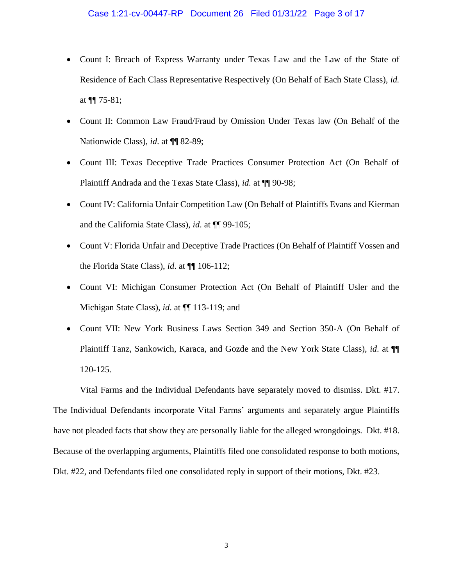- Count I: Breach of Express Warranty under Texas Law and the Law of the State of Residence of Each Class Representative Respectively (On Behalf of Each State Class), *id.* at  $\P$ [ 75-81;
- Count II: Common Law Fraud/Fraud by Omission Under Texas law (On Behalf of the Nationwide Class), *id*. at ¶¶ 82-89;
- Count III: Texas Deceptive Trade Practices Consumer Protection Act (On Behalf of Plaintiff Andrada and the Texas State Class), *id.* at ¶¶ 90-98;
- Count IV: California Unfair Competition Law (On Behalf of Plaintiffs Evans and Kierman and the California State Class), *id*. at ¶¶ 99-105;
- Count V: Florida Unfair and Deceptive Trade Practices (On Behalf of Plaintiff Vossen and the Florida State Class), *id*. at ¶¶ 106-112;
- Count VI: Michigan Consumer Protection Act (On Behalf of Plaintiff Usler and the Michigan State Class), *id*. at ¶¶ 113-119; and
- Count VII: New York Business Laws Section 349 and Section 350-A (On Behalf of Plaintiff Tanz, Sankowich, Karaca, and Gozde and the New York State Class), *id*. at ¶¶ 120-125.

Vital Farms and the Individual Defendants have separately moved to dismiss. Dkt. #17. The Individual Defendants incorporate Vital Farms' arguments and separately argue Plaintiffs have not pleaded facts that show they are personally liable for the alleged wrongdoings. Dkt. #18. Because of the overlapping arguments, Plaintiffs filed one consolidated response to both motions, Dkt. #22, and Defendants filed one consolidated reply in support of their motions, Dkt. #23.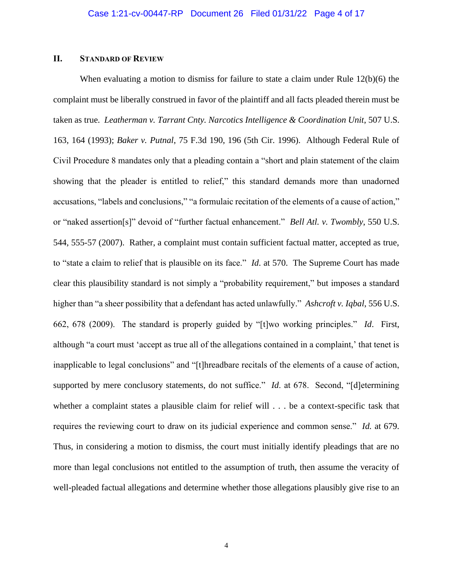## **II. STANDARD OF REVIEW**

When evaluating a motion to dismiss for failure to state a claim under Rule 12(b)(6) the complaint must be liberally construed in favor of the plaintiff and all facts pleaded therein must be taken as true. *Leatherman v. Tarrant Cnty. Narcotics Intelligence & Coordination Unit*, 507 U.S. 163, 164 (1993); *Baker v. Putnal*, 75 F.3d 190, 196 (5th Cir. 1996). Although Federal Rule of Civil Procedure 8 mandates only that a pleading contain a "short and plain statement of the claim showing that the pleader is entitled to relief," this standard demands more than unadorned accusations, "labels and conclusions," "a formulaic recitation of the elements of a cause of action," or "naked assertion[s]" devoid of "further factual enhancement." *Bell Atl. v. Twombly*, 550 U.S. 544, 555-57 (2007). Rather, a complaint must contain sufficient factual matter, accepted as true, to "state a claim to relief that is plausible on its face." *Id*. at 570. The Supreme Court has made clear this plausibility standard is not simply a "probability requirement," but imposes a standard higher than "a sheer possibility that a defendant has acted unlawfully." *Ashcroft v. Iqbal*, 556 U.S. 662, 678 (2009). The standard is properly guided by "[t]wo working principles." *Id*. First, although "a court must 'accept as true all of the allegations contained in a complaint,' that tenet is inapplicable to legal conclusions" and "[t]hreadbare recitals of the elements of a cause of action, supported by mere conclusory statements, do not suffice." *Id.* at 678. Second, "[d]etermining whether a complaint states a plausible claim for relief will . . . be a context-specific task that requires the reviewing court to draw on its judicial experience and common sense." *Id.* at 679. Thus, in considering a motion to dismiss, the court must initially identify pleadings that are no more than legal conclusions not entitled to the assumption of truth, then assume the veracity of well-pleaded factual allegations and determine whether those allegations plausibly give rise to an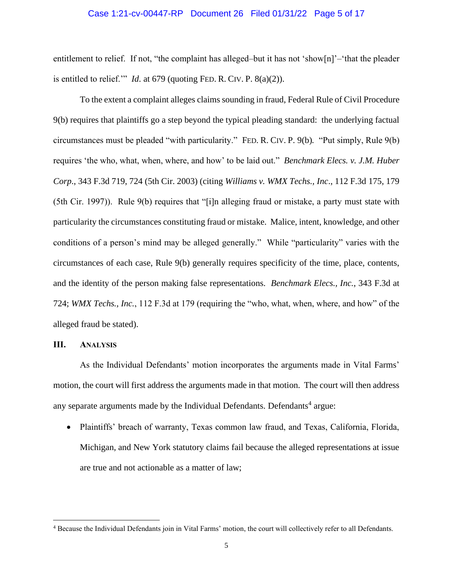#### Case 1:21-cv-00447-RP Document 26 Filed 01/31/22 Page 5 of 17

entitlement to relief. If not, "the complaint has alleged–but it has not 'show $[n]$ '–'that the pleader is entitled to relief.'" *Id*. at 679 (quoting FED. R. CIV. P. 8(a)(2)).

To the extent a complaint alleges claims sounding in fraud, Federal Rule of Civil Procedure 9(b) requires that plaintiffs go a step beyond the typical pleading standard: the underlying factual circumstances must be pleaded "with particularity." FED. R. CIV. P. 9(b)*.* "Put simply, Rule 9(b) requires 'the who, what, when, where, and how' to be laid out." *Benchmark Elecs. v. J.M. Huber Corp*., 343 F.3d 719, 724 (5th Cir. 2003) (citing *Williams v. WMX Techs., Inc*., 112 F.3d 175, 179 (5th Cir. 1997)). Rule 9(b) requires that "[i]n alleging fraud or mistake, a party must state with particularity the circumstances constituting fraud or mistake. Malice, intent, knowledge, and other conditions of a person's mind may be alleged generally." While "particularity" varies with the circumstances of each case, Rule 9(b) generally requires specificity of the time, place, contents, and the identity of the person making false representations. *Benchmark Elecs., Inc.*, 343 F.3d at 724; *WMX Techs., Inc.*, 112 F.3d at 179 (requiring the "who, what, when, where, and how" of the alleged fraud be stated).

#### **III. ANALYSIS**

As the Individual Defendants' motion incorporates the arguments made in Vital Farms' motion, the court will first address the arguments made in that motion. The court will then address any separate arguments made by the Individual Defendants. Defendants<sup>4</sup> argue:

• Plaintiffs' breach of warranty, Texas common law fraud, and Texas, California, Florida, Michigan, and New York statutory claims fail because the alleged representations at issue are true and not actionable as a matter of law;

<sup>4</sup> Because the Individual Defendants join in Vital Farms' motion, the court will collectively refer to all Defendants.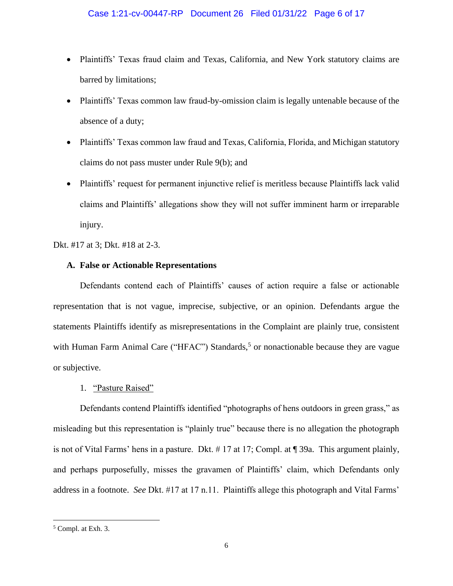- Plaintiffs' Texas fraud claim and Texas, California, and New York statutory claims are barred by limitations;
- Plaintiffs' Texas common law fraud-by-omission claim is legally untenable because of the absence of a duty;
- Plaintiffs' Texas common law fraud and Texas, California, Florida, and Michigan statutory claims do not pass muster under Rule 9(b); and
- Plaintiffs' request for permanent injunctive relief is meritless because Plaintiffs lack valid claims and Plaintiffs' allegations show they will not suffer imminent harm or irreparable injury.

Dkt. #17 at 3; Dkt. #18 at 2-3.

## **A. False or Actionable Representations**

Defendants contend each of Plaintiffs' causes of action require a false or actionable representation that is not vague, imprecise, subjective, or an opinion. Defendants argue the statements Plaintiffs identify as misrepresentations in the Complaint are plainly true, consistent with Human Farm Animal Care ("HFAC") Standards,<sup>5</sup> or nonactionable because they are vague or subjective.

## 1. "Pasture Raised"

Defendants contend Plaintiffs identified "photographs of hens outdoors in green grass," as misleading but this representation is "plainly true" because there is no allegation the photograph is not of Vital Farms' hens in a pasture. Dkt. # 17 at 17; Compl. at ¶ 39a. This argument plainly, and perhaps purposefully, misses the gravamen of Plaintiffs' claim, which Defendants only address in a footnote. *See* Dkt. #17 at 17 n.11. Plaintiffs allege this photograph and Vital Farms'

<sup>5</sup> Compl. at Exh. 3.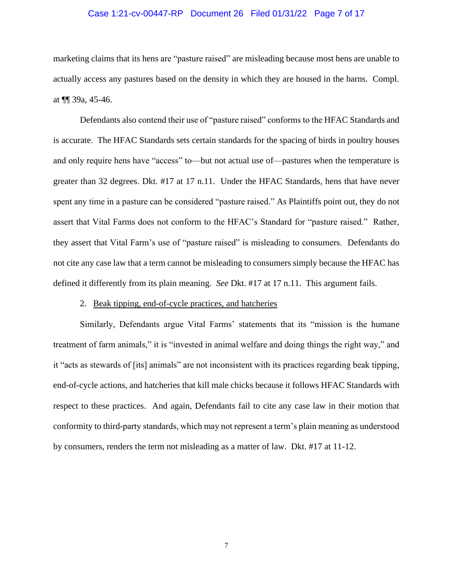#### Case 1:21-cv-00447-RP Document 26 Filed 01/31/22 Page 7 of 17

marketing claims that its hens are "pasture raised" are misleading because most hens are unable to actually access any pastures based on the density in which they are housed in the barns. Compl. at ¶¶ 39a, 45-46.

Defendants also contend their use of "pasture raised" conforms to the HFAC Standards and is accurate. The HFAC Standards sets certain standards for the spacing of birds in poultry houses and only require hens have "access" to—but not actual use of—pastures when the temperature is greater than 32 degrees. Dkt. #17 at 17 n.11. Under the HFAC Standards, hens that have never spent any time in a pasture can be considered "pasture raised." As Plaintiffs point out, they do not assert that Vital Farms does not conform to the HFAC's Standard for "pasture raised." Rather, they assert that Vital Farm's use of "pasture raised" is misleading to consumers. Defendants do not cite any case law that a term cannot be misleading to consumers simply because the HFAC has defined it differently from its plain meaning. *See* Dkt. #17 at 17 n.11. This argument fails.

#### 2. Beak tipping, end-of-cycle practices, and hatcheries

Similarly, Defendants argue Vital Farms' statements that its "mission is the humane treatment of farm animals," it is "invested in animal welfare and doing things the right way," and it "acts as stewards of [its] animals" are not inconsistent with its practices regarding beak tipping, end-of-cycle actions, and hatcheries that kill male chicks because it follows HFAC Standards with respect to these practices. And again, Defendants fail to cite any case law in their motion that conformity to third-party standards, which may not represent a term's plain meaning as understood by consumers, renders the term not misleading as a matter of law. Dkt. #17 at 11-12.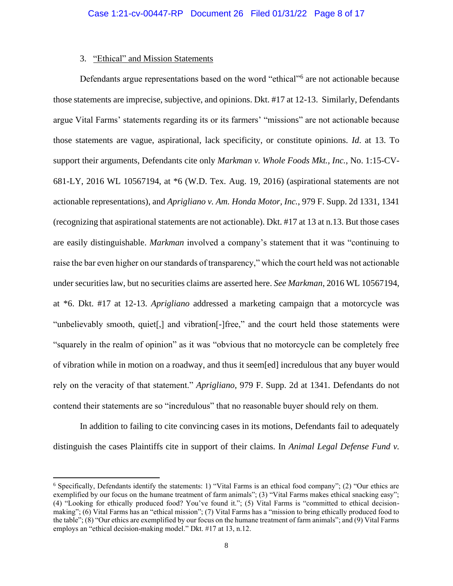#### 3. "Ethical" and Mission Statements

Defendants argue representations based on the word "ethical"<sup>6</sup> are not actionable because those statements are imprecise, subjective, and opinions. Dkt. #17 at 12-13. Similarly, Defendants argue Vital Farms' statements regarding its or its farmers' "missions" are not actionable because those statements are vague, aspirational, lack specificity, or constitute opinions. *Id*. at 13. To support their arguments, Defendants cite only *Markman v. Whole Foods Mkt., Inc.*, No. 1:15-CV-681-LY, 2016 WL 10567194, at \*6 (W.D. Tex. Aug. 19, 2016) (aspirational statements are not actionable representations), and *Aprigliano v. Am. Honda Motor, Inc.*, 979 F. Supp. 2d 1331, 1341 (recognizing that aspirational statements are not actionable). Dkt. #17 at 13 at n.13. But those cases are easily distinguishable. *Markman* involved a company's statement that it was "continuing to raise the bar even higher on our standards of transparency," which the court held was not actionable under securities law, but no securities claims are asserted here. *See Markman*, 2016 WL 10567194, at \*6. Dkt. #17 at 12-13. *Aprigliano* addressed a marketing campaign that a motorcycle was "unbelievably smooth, quiet[,] and vibration[-]free," and the court held those statements were "squarely in the realm of opinion" as it was "obvious that no motorcycle can be completely free of vibration while in motion on a roadway, and thus it seem[ed] incredulous that any buyer would rely on the veracity of that statement." *Aprigliano*, 979 F. Supp. 2d at 1341. Defendants do not contend their statements are so "incredulous" that no reasonable buyer should rely on them.

In addition to failing to cite convincing cases in its motions, Defendants fail to adequately distinguish the cases Plaintiffs cite in support of their claims. In *Animal Legal Defense Fund v.* 

<sup>6</sup> Specifically, Defendants identify the statements: 1) "Vital Farms is an ethical food company"; (2) "Our ethics are exemplified by our focus on the humane treatment of farm animals"; (3) "Vital Farms makes ethical snacking easy"; (4) "Looking for ethically produced food? You've found it."; (5) Vital Farms is "committed to ethical decisionmaking"; (6) Vital Farms has an "ethical mission"; (7) Vital Farms has a "mission to bring ethically produced food to the table"; (8) "Our ethics are exemplified by our focus on the humane treatment of farm animals"; and (9) Vital Farms employs an "ethical decision-making model." Dkt. #17 at 13, n.12.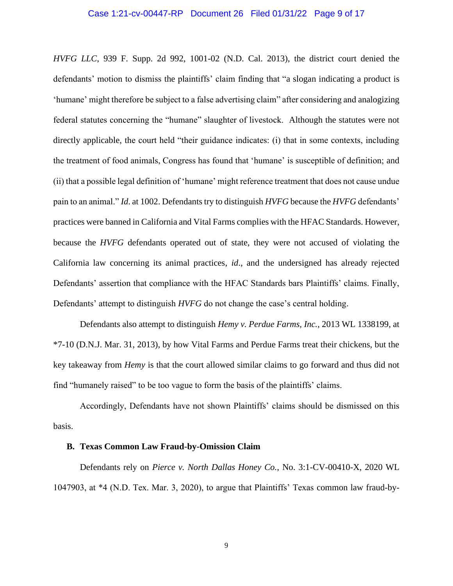#### Case 1:21-cv-00447-RP Document 26 Filed 01/31/22 Page 9 of 17

*HVFG LLC*, 939 F. Supp. 2d 992, 1001-02 (N.D. Cal. 2013), the district court denied the defendants' motion to dismiss the plaintiffs' claim finding that "a slogan indicating a product is 'humane' might therefore be subject to a false advertising claim" after considering and analogizing federal statutes concerning the "humane" slaughter of livestock. Although the statutes were not directly applicable, the court held "their guidance indicates: (i) that in some contexts, including the treatment of food animals, Congress has found that 'humane' is susceptible of definition; and (ii) that a possible legal definition of 'humane' might reference treatment that does not cause undue pain to an animal." *Id*. at 1002. Defendants try to distinguish *HVFG* because the *HVFG* defendants' practices were banned in California and Vital Farms complies with the HFAC Standards. However, because the *HVFG* defendants operated out of state, they were not accused of violating the California law concerning its animal practices, *id*., and the undersigned has already rejected Defendants' assertion that compliance with the HFAC Standards bars Plaintiffs' claims. Finally, Defendants' attempt to distinguish *HVFG* do not change the case's central holding.

Defendants also attempt to distinguish *Hemy v. Perdue Farms, Inc.*, 2013 WL 1338199, at \*7-10 (D.N.J. Mar. 31, 2013), by how Vital Farms and Perdue Farms treat their chickens, but the key takeaway from *Hemy* is that the court allowed similar claims to go forward and thus did not find "humanely raised" to be too vague to form the basis of the plaintiffs' claims.

Accordingly, Defendants have not shown Plaintiffs' claims should be dismissed on this basis.

#### **B. Texas Common Law Fraud-by-Omission Claim**

Defendants rely on *Pierce v. North Dallas Honey Co.*, No. 3:1-CV-00410-X, 2020 WL 1047903, at \*4 (N.D. Tex. Mar. 3, 2020), to argue that Plaintiffs' Texas common law fraud-by-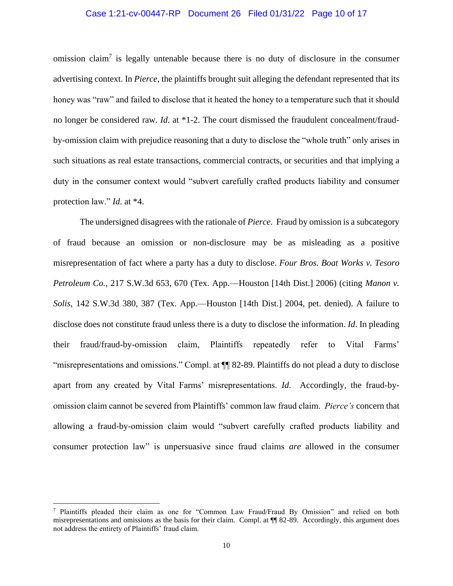### Case 1:21-cv-00447-RP Document 26 Filed 01/31/22 Page 10 of 17

omission claim<sup>7</sup> is legally untenable because there is no duty of disclosure in the consumer advertising context. In *Pierce*, the plaintiffs brought suit alleging the defendant represented that its honey was "raw" and failed to disclose that it heated the honey to a temperature such that it should no longer be considered raw. *Id*. at \*1-2. The court dismissed the fraudulent concealment/fraudby-omission claim with prejudice reasoning that a duty to disclose the "whole truth" only arises in such situations as real estate transactions, commercial contracts, or securities and that implying a duty in the consumer context would "subvert carefully crafted products liability and consumer protection law." *Id*. at \*4.

The undersigned disagrees with the rationale of *Pierce*. Fraud by omission is a subcategory of fraud because an omission or non-disclosure may be as misleading as a positive misrepresentation of fact where a party has a duty to disclose. *Four Bros. Boat Works v. Tesoro Petroleum Co.*, 217 S.W.3d 653, 670 (Tex. App.—Houston [14th Dist.] 2006) (citing *Manon v. Solis*, 142 S.W.3d 380, 387 (Tex. App.—Houston [14th Dist.] 2004, pet. denied). A failure to disclose does not constitute fraud unless there is a duty to disclose the information. *Id*. In pleading their fraud/fraud-by-omission claim, Plaintiffs repeatedly refer to Vital Farms' "misrepresentations and omissions." Compl. at ¶¶ 82-89. Plaintiffs do not plead a duty to disclose apart from any created by Vital Farms' misrepresentations. *Id*. Accordingly, the fraud-byomission claim cannot be severed from Plaintiffs' common law fraud claim. *Pierce's* concern that allowing a fraud-by-omission claim would "subvert carefully crafted products liability and consumer protection law" is unpersuasive since fraud claims *are* allowed in the consumer

<sup>7</sup> Plaintiffs pleaded their claim as one for "Common Law Fraud/Fraud By Omission" and relied on both misrepresentations and omissions as the basis for their claim. Compl. at  $\P$  82-89. Accordingly, this argument does not address the entirety of Plaintiffs' fraud claim.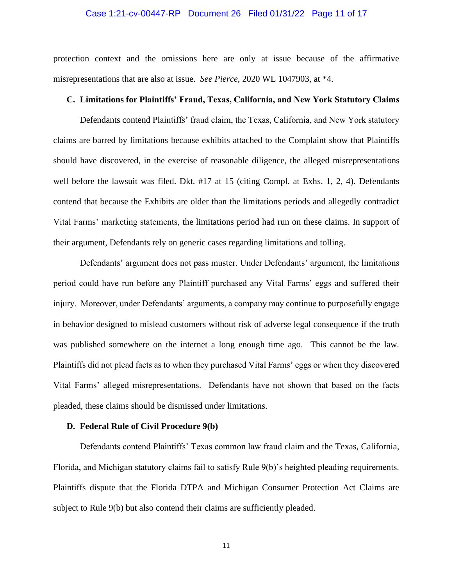#### Case 1:21-cv-00447-RP Document 26 Filed 01/31/22 Page 11 of 17

protection context and the omissions here are only at issue because of the affirmative misrepresentations that are also at issue. *See Pierce*, 2020 WL 1047903, at \*4.

#### **C. Limitations for Plaintiffs' Fraud, Texas, California, and New York Statutory Claims**

Defendants contend Plaintiffs' fraud claim, the Texas, California, and New York statutory claims are barred by limitations because exhibits attached to the Complaint show that Plaintiffs should have discovered, in the exercise of reasonable diligence, the alleged misrepresentations well before the lawsuit was filed. Dkt. #17 at 15 (citing Compl. at Exhs. 1, 2, 4). Defendants contend that because the Exhibits are older than the limitations periods and allegedly contradict Vital Farms' marketing statements, the limitations period had run on these claims. In support of their argument, Defendants rely on generic cases regarding limitations and tolling.

Defendants' argument does not pass muster. Under Defendants' argument, the limitations period could have run before any Plaintiff purchased any Vital Farms' eggs and suffered their injury. Moreover, under Defendants' arguments, a company may continue to purposefully engage in behavior designed to mislead customers without risk of adverse legal consequence if the truth was published somewhere on the internet a long enough time ago. This cannot be the law. Plaintiffs did not plead facts as to when they purchased Vital Farms' eggs or when they discovered Vital Farms' alleged misrepresentations. Defendants have not shown that based on the facts pleaded, these claims should be dismissed under limitations.

#### **D. Federal Rule of Civil Procedure 9(b)**

Defendants contend Plaintiffs' Texas common law fraud claim and the Texas, California, Florida, and Michigan statutory claims fail to satisfy Rule 9(b)'s heighted pleading requirements. Plaintiffs dispute that the Florida DTPA and Michigan Consumer Protection Act Claims are subject to Rule 9(b) but also contend their claims are sufficiently pleaded.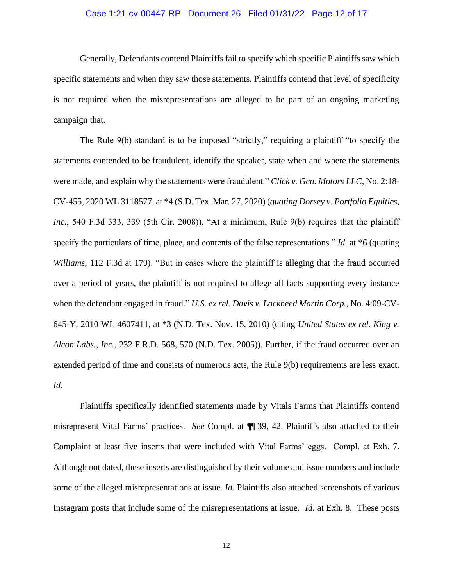### Case 1:21-cv-00447-RP Document 26 Filed 01/31/22 Page 12 of 17

Generally, Defendants contend Plaintiffs fail to specify which specific Plaintiffs saw which specific statements and when they saw those statements. Plaintiffs contend that level of specificity is not required when the misrepresentations are alleged to be part of an ongoing marketing campaign that.

The Rule 9(b) standard is to be imposed "strictly," requiring a plaintiff "to specify the statements contended to be fraudulent, identify the speaker, state when and where the statements were made, and explain why the statements were fraudulent." *Click v. Gen. Motors LLC*, No. 2:18- CV-455, 2020 WL 3118577, at \*4 (S.D. Tex. Mar. 27, 2020) (*quoting Dorsey v. Portfolio Equities, Inc.*, 540 F.3d 333, 339 (5th Cir. 2008)). "At a minimum, Rule 9(b) requires that the plaintiff specify the particulars of time, place, and contents of the false representations." *Id*. at \*6 (quoting *Williams*, 112 F.3d at 179). "But in cases where the plaintiff is alleging that the fraud occurred over a period of years, the plaintiff is not required to allege all facts supporting every instance when the defendant engaged in fraud." *U.S. ex rel. Davis v. Lockheed Martin Corp.*, No. 4:09-CV-645-Y, 2010 WL 4607411, at \*3 (N.D. Tex. Nov. 15, 2010) (citing *United States ex rel. King v. Alcon Labs., Inc.*, 232 F.R.D. 568, 570 (N.D. Tex. 2005)). Further, if the fraud occurred over an extended period of time and consists of numerous acts, the Rule 9(b) requirements are less exact. *Id*.

Plaintiffs specifically identified statements made by Vitals Farms that Plaintiffs contend misrepresent Vital Farms' practices. *See* Compl. at ¶¶ 39, 42. Plaintiffs also attached to their Complaint at least five inserts that were included with Vital Farms' eggs. Compl. at Exh. 7. Although not dated, these inserts are distinguished by their volume and issue numbers and include some of the alleged misrepresentations at issue. *Id*. Plaintiffs also attached screenshots of various Instagram posts that include some of the misrepresentations at issue. *Id*. at Exh. 8. These posts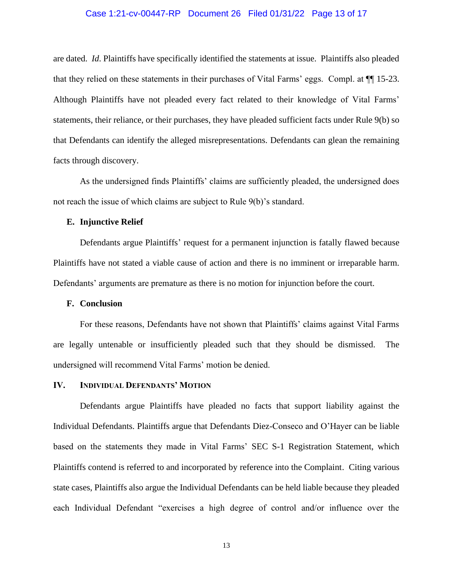### Case 1:21-cv-00447-RP Document 26 Filed 01/31/22 Page 13 of 17

are dated. *Id*. Plaintiffs have specifically identified the statements at issue. Plaintiffs also pleaded that they relied on these statements in their purchases of Vital Farms' eggs. Compl. at ¶¶ 15-23. Although Plaintiffs have not pleaded every fact related to their knowledge of Vital Farms' statements, their reliance, or their purchases, they have pleaded sufficient facts under Rule 9(b) so that Defendants can identify the alleged misrepresentations. Defendants can glean the remaining facts through discovery.

As the undersigned finds Plaintiffs' claims are sufficiently pleaded, the undersigned does not reach the issue of which claims are subject to Rule 9(b)'s standard.

#### **E. Injunctive Relief**

Defendants argue Plaintiffs' request for a permanent injunction is fatally flawed because Plaintiffs have not stated a viable cause of action and there is no imminent or irreparable harm. Defendants' arguments are premature as there is no motion for injunction before the court.

#### **F. Conclusion**

For these reasons, Defendants have not shown that Plaintiffs' claims against Vital Farms are legally untenable or insufficiently pleaded such that they should be dismissed. The undersigned will recommend Vital Farms' motion be denied.

#### **IV. INDIVIDUAL DEFENDANTS' MOTION**

Defendants argue Plaintiffs have pleaded no facts that support liability against the Individual Defendants. Plaintiffs argue that Defendants Diez-Conseco and O'Hayer can be liable based on the statements they made in Vital Farms' SEC S-1 Registration Statement, which Plaintiffs contend is referred to and incorporated by reference into the Complaint. Citing various state cases, Plaintiffs also argue the Individual Defendants can be held liable because they pleaded each Individual Defendant "exercises a high degree of control and/or influence over the

13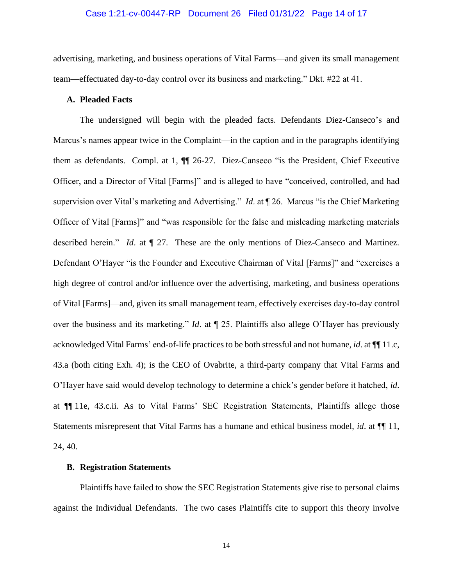### Case 1:21-cv-00447-RP Document 26 Filed 01/31/22 Page 14 of 17

advertising, marketing, and business operations of Vital Farms—and given its small management team—effectuated day-to-day control over its business and marketing." Dkt. #22 at 41.

### **A. Pleaded Facts**

The undersigned will begin with the pleaded facts. Defendants Diez-Canseco's and Marcus's names appear twice in the Complaint—in the caption and in the paragraphs identifying them as defendants. Compl. at 1, ¶¶ 26-27. Diez-Canseco "is the President, Chief Executive Officer, and a Director of Vital [Farms]" and is alleged to have "conceived, controlled, and had supervision over Vital's marketing and Advertising." *Id*. at ¶ 26. Marcus "is the Chief Marketing Officer of Vital [Farms]" and "was responsible for the false and misleading marketing materials described herein." *Id*. at ¶ 27. These are the only mentions of Diez-Canseco and Martinez. Defendant O'Hayer "is the Founder and Executive Chairman of Vital [Farms]" and "exercises a high degree of control and/or influence over the advertising, marketing, and business operations of Vital [Farms]—and, given its small management team, effectively exercises day-to-day control over the business and its marketing." *Id*. at ¶ 25. Plaintiffs also allege O'Hayer has previously acknowledged Vital Farms' end-of-life practices to be both stressful and not humane, *id*. at ¶¶ 11.c, 43.a (both citing Exh. 4); is the CEO of Ovabrite, a third-party company that Vital Farms and O'Hayer have said would develop technology to determine a chick's gender before it hatched, *id*. at ¶¶ 11e, 43.c.ii. As to Vital Farms' SEC Registration Statements, Plaintiffs allege those Statements misrepresent that Vital Farms has a humane and ethical business model, *id*. at ¶¶ 11, 24, 40.

#### **B. Registration Statements**

Plaintiffs have failed to show the SEC Registration Statements give rise to personal claims against the Individual Defendants. The two cases Plaintiffs cite to support this theory involve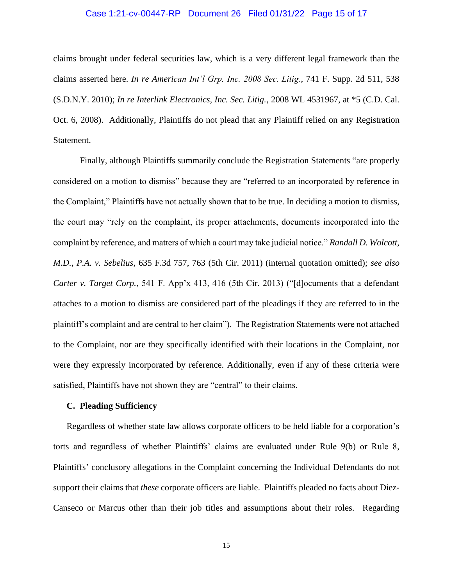### Case 1:21-cv-00447-RP Document 26 Filed 01/31/22 Page 15 of 17

claims brought under federal securities law, which is a very different legal framework than the claims asserted here. *In re American Int'l Grp. Inc. 2008 Sec. Litig.*, 741 F. Supp. 2d 511, 538 (S.D.N.Y. 2010); *In re Interlink Electronics, Inc. Sec. Litig.*, 2008 WL 4531967, at \*5 (C.D. Cal. Oct. 6, 2008). Additionally, Plaintiffs do not plead that any Plaintiff relied on any Registration Statement.

Finally, although Plaintiffs summarily conclude the Registration Statements "are properly considered on a motion to dismiss" because they are "referred to an incorporated by reference in the Complaint," Plaintiffs have not actually shown that to be true. In deciding a motion to dismiss, the court may "rely on the complaint, its proper attachments, documents incorporated into the complaint by reference, and matters of which a court may take judicial notice." *Randall D. Wolcott, M.D., P.A. v. Sebelius*, 635 F.3d 757, 763 (5th Cir. 2011) (internal quotation omitted); *see also Carter v. Target Corp.*, 541 F. App'x 413, 416 (5th Cir. 2013) ("[d]ocuments that a defendant attaches to a motion to dismiss are considered part of the pleadings if they are referred to in the plaintiff's complaint and are central to her claim"). The Registration Statements were not attached to the Complaint, nor are they specifically identified with their locations in the Complaint, nor were they expressly incorporated by reference. Additionally, even if any of these criteria were satisfied, Plaintiffs have not shown they are "central" to their claims.

### **C. Pleading Sufficiency**

Regardless of whether state law allows corporate officers to be held liable for a corporation's torts and regardless of whether Plaintiffs' claims are evaluated under Rule 9(b) or Rule 8, Plaintiffs' conclusory allegations in the Complaint concerning the Individual Defendants do not support their claims that *these* corporate officers are liable. Plaintiffs pleaded no facts about Diez-Canseco or Marcus other than their job titles and assumptions about their roles. Regarding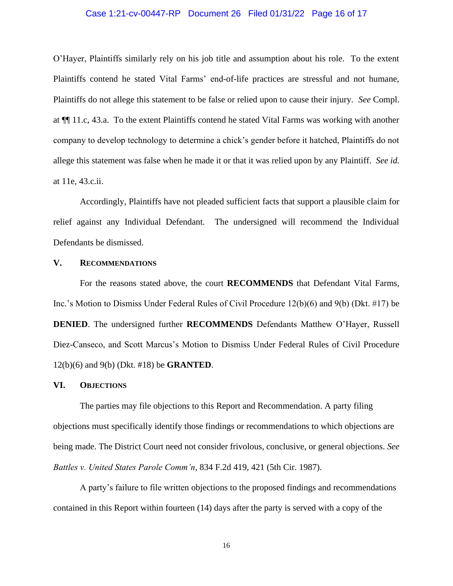### Case 1:21-cv-00447-RP Document 26 Filed 01/31/22 Page 16 of 17

O'Hayer, Plaintiffs similarly rely on his job title and assumption about his role. To the extent Plaintiffs contend he stated Vital Farms' end-of-life practices are stressful and not humane, Plaintiffs do not allege this statement to be false or relied upon to cause their injury. *See* Compl. at ¶¶ 11.c, 43.a. To the extent Plaintiffs contend he stated Vital Farms was working with another company to develop technology to determine a chick's gender before it hatched, Plaintiffs do not allege this statement was false when he made it or that it was relied upon by any Plaintiff. *See id.* at 11e, 43.c.ii.

Accordingly, Plaintiffs have not pleaded sufficient facts that support a plausible claim for relief against any Individual Defendant. The undersigned will recommend the Individual Defendants be dismissed.

#### **V. RECOMMENDATIONS**

For the reasons stated above, the court **RECOMMENDS** that Defendant Vital Farms, Inc.'s Motion to Dismiss Under Federal Rules of Civil Procedure 12(b)(6) and 9(b) (Dkt. #17) be **DENIED**. The undersigned further **RECOMMENDS** Defendants Matthew O'Hayer, Russell Diez-Canseco, and Scott Marcus's Motion to Dismiss Under Federal Rules of Civil Procedure 12(b)(6) and 9(b) (Dkt. #18) be **GRANTED**.

#### **VI. OBJECTIONS**

The parties may file objections to this Report and Recommendation. A party filing objections must specifically identify those findings or recommendations to which objections are being made. The District Court need not consider frivolous, conclusive, or general objections. *See Battles v. United States Parole Comm'n*, 834 F.2d 419, 421 (5th Cir. 1987).

A party's failure to file written objections to the proposed findings and recommendations contained in this Report within fourteen (14) days after the party is served with a copy of the

16